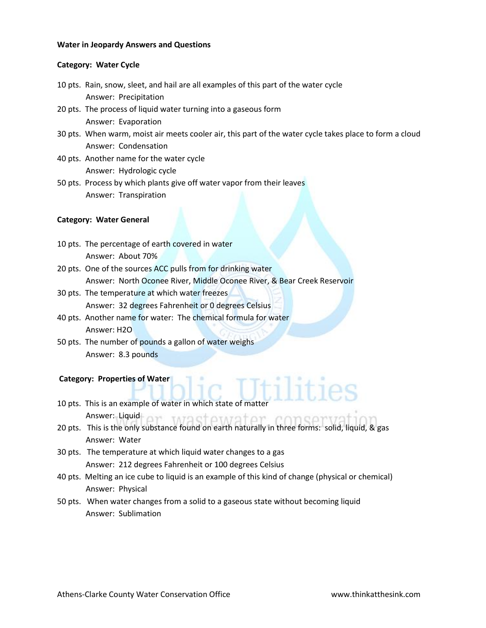## **Water in Jeopardy Answers and Questions**

## **Category: Water Cycle**

- 10 pts. Rain, snow, sleet, and hail are all examples of this part of the water cycle Answer: Precipitation
- 20 pts. The process of liquid water turning into a gaseous form Answer: Evaporation
- 30 pts. When warm, moist air meets cooler air, this part of the water cycle takes place to form a cloud Answer: Condensation
- 40 pts. Another name for the water cycle Answer: Hydrologic cycle
- 50 pts. Process by which plants give off water vapor from their leaves Answer: Transpiration

### **Category: Water General**

- 10 pts. The percentage of earth covered in water Answer: About 70%
- 20 pts. One of the sources ACC pulls from for drinking water Answer: North Oconee River, Middle Oconee River, & Bear Creek Reservoir
- 30 pts. The temperature at which water freezes Answer: 32 degrees Fahrenheit or 0 degrees Celsius
- 40 pts. Another name for water: The chemical formula for water Answer: H2O
- 50 pts. The number of pounds a gallon of water weighs Answer: 8.3 pounds

## **Category: Properties of Water**

- 10 pts. This is an example of water in which state of matter Answer: Liquid ar MARSTAMATAT CODSATV
- 20 pts. This is the only substance found on earth naturally in three forms: solid, liquid, & gas Answer: Water
- 30 pts. The temperature at which liquid water changes to a gas Answer: 212 degrees Fahrenheit or 100 degrees Celsius
- 40 pts. Melting an ice cube to liquid is an example of this kind of change (physical or chemical) Answer: Physical
- 50 pts. When water changes from a solid to a gaseous state without becoming liquid Answer: Sublimation